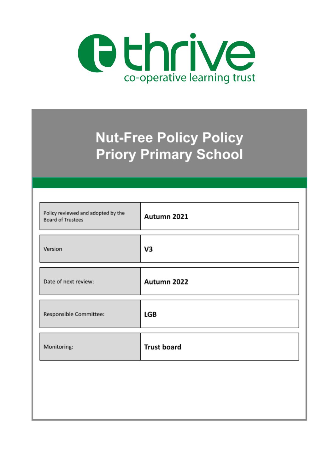

# **Nut-Free Policy Policy Priory Primary School**

| Policy reviewed and adopted by the<br><b>Board of Trustees</b> | Autumn 2021        |
|----------------------------------------------------------------|--------------------|
| Version                                                        | V3                 |
| Date of next review:                                           | Autumn 2022        |
| Responsible Committee:                                         | LGB                |
| Monitoring:                                                    | <b>Trust board</b> |
|                                                                |                    |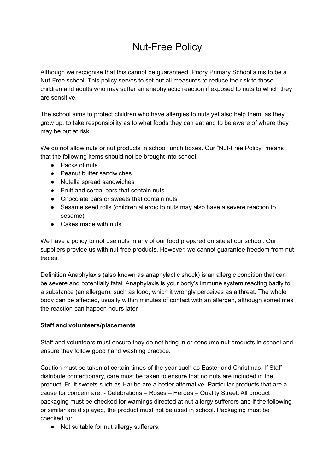## Nut-Free Policy

Although we recognise that this cannot be guaranteed, Priory Primary School aims to be a Nut-Free school. This policy serves to set out all measures to reduce the risk to those children and adults who may suffer an anaphylactic reaction if exposed to nuts to which they are sensitive.

The school aims to protect children who have allergies to nuts yet also help them, as they grow up, to take responsibility as to what foods they can eat and to be aware of where they may be put at risk.

We do not allow nuts or nut products in school lunch boxes. Our "Nut-Free Policy" means that the following items should not be brought into school:

- Packs of nuts
- Peanut butter sandwiches
- Nutella spread sandwiches
- Fruit and cereal bars that contain nuts
- Chocolate bars or sweets that contain nuts
- Sesame seed rolls (children allergic to nuts may also have a severe reaction to sesame)
- Cakes made with nuts

We have a policy to not use nuts in any of our food prepared on site at our school. Our suppliers provide us with nut-free products. However, we cannot guarantee freedom from nut traces.

Definition Anaphylaxis (also known as anaphylactic shock) is an allergic condition that can be severe and potentially fatal. Anaphylaxis is your body's immune system reacting badly to a substance (an allergen), such as food, which it wrongly perceives as a threat. The whole body can be affected, usually within minutes of contact with an allergen, although sometimes the reaction can happen hours later.

#### **Staff and volunteers/placements**

Staff and volunteers must ensure they do not bring in or consume nut products in school and ensure they follow good hand washing practice.

Caution must be taken at certain times of the year such as Easter and Christmas. If Staff distribute confectionary, care must be taken to ensure that no nuts are included in the product. Fruit sweets such as Haribo are a better alternative. Particular products that are a cause for concern are: - Celebrations – Roses – Heroes – Quality Street. All product packaging must be checked for warnings directed at nut allergy sufferers and if the following or similar are displayed, the product must not be used in school. Packaging must be checked for:

● Not suitable for nut allergy sufferers;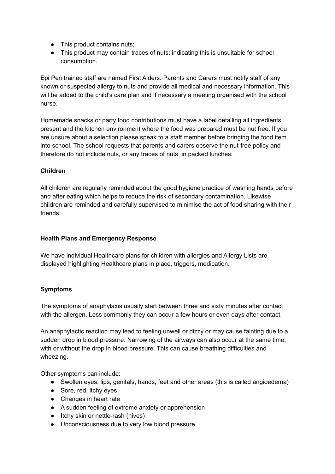- This product contains nuts;
- This product may contain traces of nuts; indicating this is unsuitable for school consumption.

Epi Pen trained staff are named First Aiders. Parents and Carers must notify staff of any known or suspected allergy to nuts and provide all medical and necessary information. This will be added to the child's care plan and if necessary a meeting organised with the school nurse.

Homemade snacks or party food contributions must have a label detailing all ingredients present and the kitchen environment where the food was prepared must be nut free. If you are unsure about a selection please speak to a staff member before bringing the food item into school. The school requests that parents and carers observe the nut-free policy and therefore do not include nuts, or any traces of nuts, in packed lunches.

#### **Children**

All children are regularly reminded about the good hygiene practice of washing hands before and after eating which helps to reduce the risk of secondary contamination. Likewise children are reminded and carefully supervised to minimise the act of food sharing with their friends.

#### **Health Plans and Emergency Response**

We have individual Healthcare plans for children with allergies and Allergy Lists are displayed highlighting Healthcare plans in place, triggers, medication.

### **Symptoms**

The symptoms of anaphylaxis usually start between three and sixty minutes after contact with the allergen. Less commonly they can occur a few hours or even days after contact.

An anaphylactic reaction may lead to feeling unwell or dizzy or may cause fainting due to a sudden drop in blood pressure. Narrowing of the airways can also occur at the same time, with or without the drop in blood pressure. This can cause breathing difficulties and wheezing.

Other symptoms can include:

- Swollen eyes, lips, genitals, hands, feet and other areas (this is called angioedema)
- Sore, red, itchy eyes
- Changes in heart rate
- A sudden feeling of extreme anxiety or apprehension
- Itchy skin or nettle-rash (hives)
- Unconsciousness due to very low blood pressure